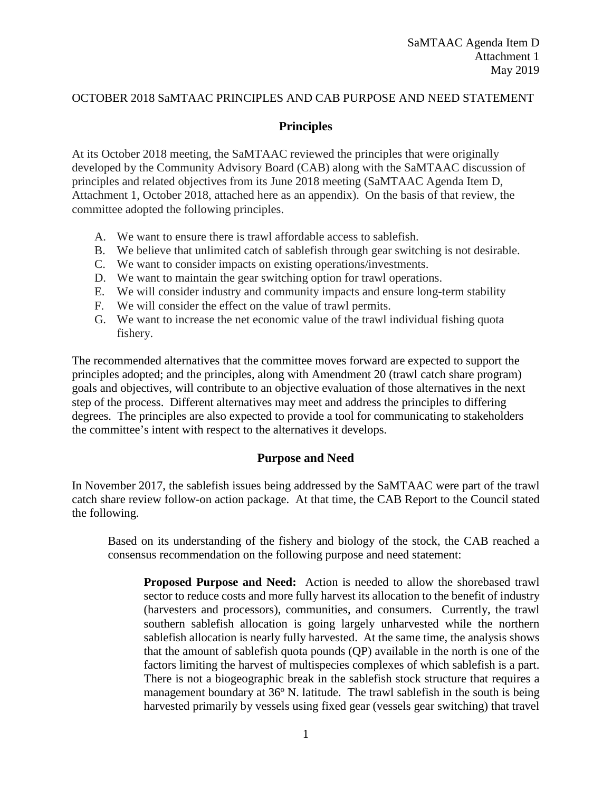#### OCTOBER 2018 SaMTAAC PRINCIPLES AND CAB PURPOSE AND NEED STATEMENT

#### **Principles**

At its October 2018 meeting, the SaMTAAC reviewed the principles that were originally developed by the Community Advisory Board (CAB) along with the SaMTAAC discussion of principles and related objectives from its June 2018 meeting (SaMTAAC Agenda Item D, Attachment 1, October 2018, attached here as an appendix). On the basis of that review, the committee adopted the following principles.

- A. We want to ensure there is trawl affordable access to sablefish.
- B. We believe that unlimited catch of sablefish through gear switching is not desirable.
- C. We want to consider impacts on existing operations/investments.
- D. We want to maintain the gear switching option for trawl operations.
- E. We will consider industry and community impacts and ensure long-term stability
- F. We will consider the effect on the value of trawl permits.
- G. We want to increase the net economic value of the trawl individual fishing quota fishery.

The recommended alternatives that the committee moves forward are expected to support the principles adopted; and the principles, along with Amendment 20 (trawl catch share program) goals and objectives, will contribute to an objective evaluation of those alternatives in the next step of the process. Different alternatives may meet and address the principles to differing degrees. The principles are also expected to provide a tool for communicating to stakeholders the committee's intent with respect to the alternatives it develops.

#### **Purpose and Need**

In November 2017, the sablefish issues being addressed by the SaMTAAC were part of the trawl catch share review follow-on action package. At that time, the CAB Report to the Council stated the following.

Based on its understanding of the fishery and biology of the stock, the CAB reached a consensus recommendation on the following purpose and need statement:

**Proposed Purpose and Need:** Action is needed to allow the shorebased trawl sector to reduce costs and more fully harvest its allocation to the benefit of industry (harvesters and processors), communities, and consumers. Currently, the trawl southern sablefish allocation is going largely unharvested while the northern sablefish allocation is nearly fully harvested. At the same time, the analysis shows that the amount of sablefish quota pounds (QP) available in the north is one of the factors limiting the harvest of multispecies complexes of which sablefish is a part. There is not a biogeographic break in the sablefish stock structure that requires a management boundary at  $36^{\circ}$  N. latitude. The trawl sable fish in the south is being harvested primarily by vessels using fixed gear (vessels gear switching) that travel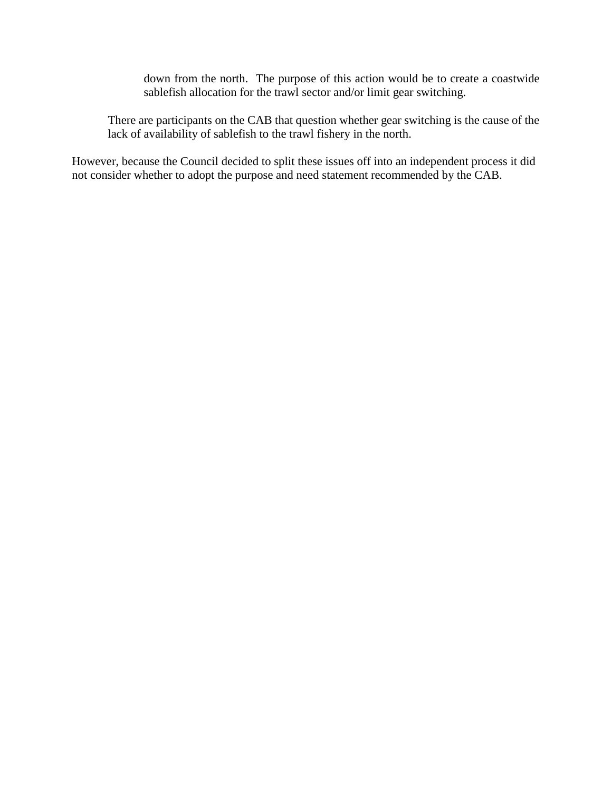down from the north. The purpose of this action would be to create a coastwide sablefish allocation for the trawl sector and/or limit gear switching.

There are participants on the CAB that question whether gear switching is the cause of the lack of availability of sablefish to the trawl fishery in the north.

However, because the Council decided to split these issues off into an independent process it did not consider whether to adopt the purpose and need statement recommended by the CAB.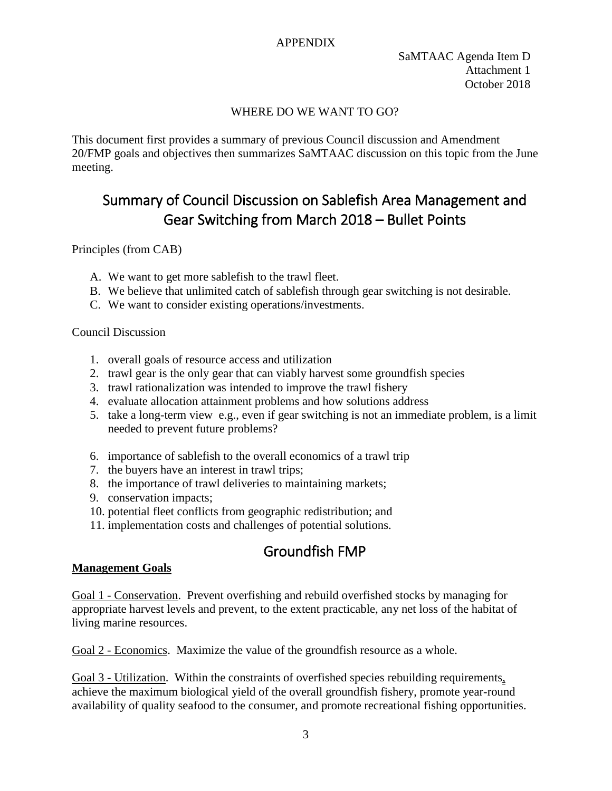### APPENDIX

### WHERE DO WE WANT TO GO?

This document first provides a summary of previous Council discussion and Amendment 20/FMP goals and objectives then summarizes SaMTAAC discussion on this topic from the June meeting.

# Summary of Council Discussion on Sablefish Area Management and Gear Switching from March 2018 – Bullet Points

Principles (from CAB)

- A. We want to get more sablefish to the trawl fleet.
- B. We believe that unlimited catch of sablefish through gear switching is not desirable.
- C. We want to consider existing operations/investments.

### Council Discussion

- 1. overall goals of resource access and utilization
- 2. trawl gear is the only gear that can viably harvest some groundfish species
- 3. trawl rationalization was intended to improve the trawl fishery
- 4. evaluate allocation attainment problems and how solutions address
- 5. take a long-term view e.g., even if gear switching is not an immediate problem, is a limit needed to prevent future problems?
- 6. importance of sablefish to the overall economics of a trawl trip
- 7. the buyers have an interest in trawl trips;
- 8. the importance of trawl deliveries to maintaining markets;
- 9. conservation impacts;
- 10. potential fleet conflicts from geographic redistribution; and
- 11. implementation costs and challenges of potential solutions.

# Groundfish FMP

### **Management Goals**

Goal 1 - Conservation. Prevent overfishing and rebuild overfished stocks by managing for appropriate harvest levels and prevent, to the extent practicable, any net loss of the habitat of living marine resources.

Goal 2 - Economics. Maximize the value of the groundfish resource as a whole.

Goal 3 - Utilization. Within the constraints of overfished species rebuilding requirements, achieve the maximum biological yield of the overall groundfish fishery, promote year-round availability of quality seafood to the consumer, and promote recreational fishing opportunities.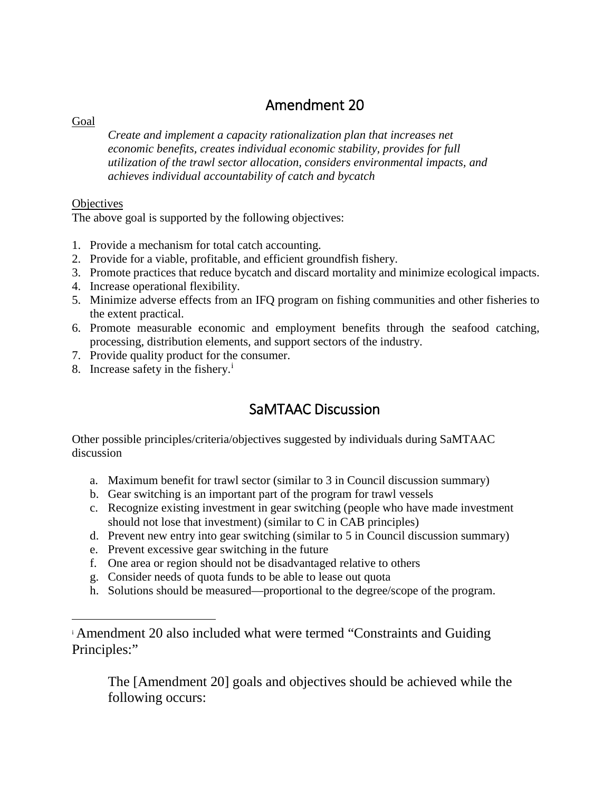## Amendment 20

Goal

*Create and implement a capacity rationalization plan that increases net economic benefits, creates individual economic stability, provides for full utilization of the trawl sector allocation, considers environmental impacts, and achieves individual accountability of catch and bycatch* 

## **Objectives**

 $\overline{a}$ 

The above goal is supported by the following objectives:

- 1. Provide a mechanism for total catch accounting.
- 2. Provide for a viable, profitable, and efficient groundfish fishery.
- 3. Promote practices that reduce bycatch and discard mortality and minimize ecological impacts.
- 4. Increase operational flexibility.
- 5. Minimize adverse effects from an IFQ program on fishing communities and other fisheries to the extent practical.
- 6. Promote measurable economic and employment benefits through the seafood catching, processing, distribution elements, and support sectors of the industry.
- 7. Provide quality product for the consumer.
- 8. Increase safety [i](#page-3-0)n the fishery.<sup>i</sup>

## SaMTAAC Discussion

Other possible principles/criteria/objectives suggested by individuals during SaMTAAC discussion

- a. Maximum benefit for trawl sector (similar to 3 in Council discussion summary)
- b. Gear switching is an important part of the program for trawl vessels
- c. Recognize existing investment in gear switching (people who have made investment should not lose that investment) (similar to C in CAB principles)
- d. Prevent new entry into gear switching (similar to 5 in Council discussion summary)
- e. Prevent excessive gear switching in the future
- f. One area or region should not be disadvantaged relative to others
- g. Consider needs of quota funds to be able to lease out quota
- h. Solutions should be measured—proportional to the degree/scope of the program.

The [Amendment 20] goals and objectives should be achieved while the following occurs:

<span id="page-3-0"></span><sup>i</sup> Amendment 20 also included what were termed "Constraints and Guiding Principles:"